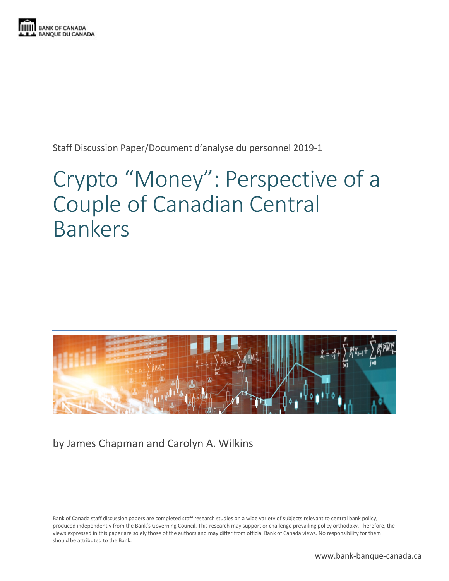

Staff Discussion Paper/Document d'analyse du personnel 2019-1

# Crypto "Money": Perspective of a Couple of Canadian Central Bankers



by James Chapman and Carolyn A. Wilkins

Bank of Canada staff discussion papers are completed staff research studies on a wide variety of subjects relevant to central bank policy, produced independently from the Bank's Governing Council. This research may support or challenge prevailing policy orthodoxy. Therefore, the views expressed in this paper are solely those of the authors and may differ from official Bank of Canada views. No responsibility for them should be attributed to the Bank.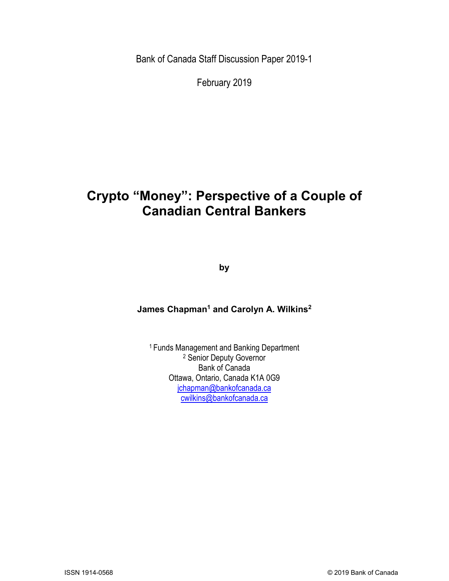Bank of Canada Staff Discussion Paper 2019-1

February 2019

## **Crypto "Money": Perspective of a Couple of Canadian Central Bankers**

**by**

#### **James Chapman1 and Carolyn A. Wilkins2**

<sup>1</sup> Funds Management and Banking Department <sup>2</sup> Senior Deputy Governor Bank of Canada Ottawa, Ontario, Canada K1A 0G9 [jchapman@bankofcanada.ca](mailto:jchapman@bankofcanada.ca) [cwilkins@bankofcanada.ca](mailto:cwilkins@bankofcanada.ca)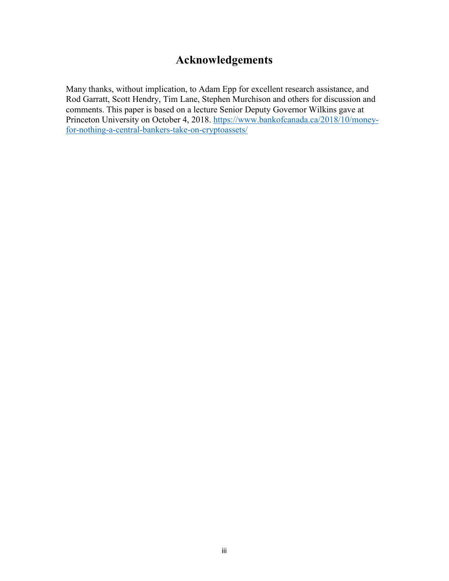## **Acknowledgements**

Many thanks, without implication, to Adam Epp for excellent research assistance, and Rod Garratt, Scott Hendry, Tim Lane, Stephen Murchison and others for discussion and comments. This paper is based on a lecture Senior Deputy Governor Wilkins gave at Princeton University on October 4, 2018. [https://www.bankofcanada.ca/2018/10/money](https://www.bankofcanada.ca/2018/10/money-for-nothing-a-central-bankers-take-on-cryptoassets/)[for-nothing-a-central-bankers-take-on-cryptoassets/](https://www.bankofcanada.ca/2018/10/money-for-nothing-a-central-bankers-take-on-cryptoassets/)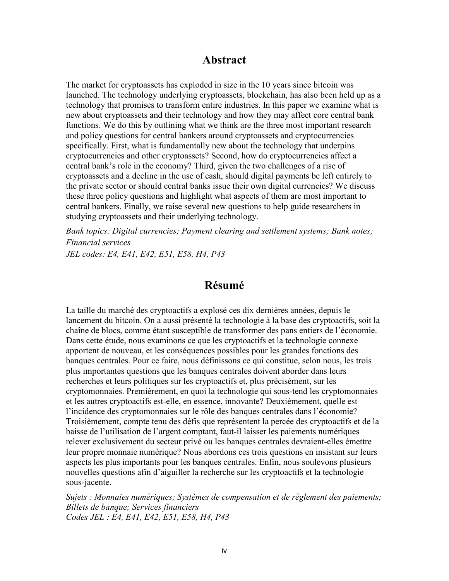#### **Abstract**

The market for cryptoassets has exploded in size in the 10 years since bitcoin was launched. The technology underlying cryptoassets, blockchain, has also been held up as a technology that promises to transform entire industries. In this paper we examine what is new about cryptoassets and their technology and how they may affect core central bank functions. We do this by outlining what we think are the three most important research and policy questions for central bankers around cryptoassets and cryptocurrencies specifically. First, what is fundamentally new about the technology that underpins cryptocurrencies and other cryptoassets? Second, how do cryptocurrencies affect a central bank's role in the economy? Third, given the two challenges of a rise of cryptoassets and a decline in the use of cash, should digital payments be left entirely to the private sector or should central banks issue their own digital currencies? We discuss these three policy questions and highlight what aspects of them are most important to central bankers. Finally, we raise several new questions to help guide researchers in studying cryptoassets and their underlying technology.

*Bank topics: Digital currencies; Payment clearing and settlement systems; Bank notes; Financial services JEL codes: E4, E41, E42, E51, E58, H4, P43*

#### **Résumé**

La taille du marché des cryptoactifs a explosé ces dix dernières années, depuis le lancement du bitcoin. On a aussi présenté la technologie à la base des cryptoactifs, soit la chaîne de blocs, comme étant susceptible de transformer des pans entiers de l'économie. Dans cette étude, nous examinons ce que les cryptoactifs et la technologie connexe apportent de nouveau, et les conséquences possibles pour les grandes fonctions des banques centrales. Pour ce faire, nous définissons ce qui constitue, selon nous, les trois plus importantes questions que les banques centrales doivent aborder dans leurs recherches et leurs politiques sur les cryptoactifs et, plus précisément, sur les cryptomonnaies. Premièrement, en quoi la technologie qui sous-tend les cryptomonnaies et les autres cryptoactifs est-elle, en essence, innovante? Deuxièmement, quelle est l'incidence des cryptomonnaies sur le rôle des banques centrales dans l'économie? Troisièmement, compte tenu des défis que représentent la percée des cryptoactifs et de la baisse de l'utilisation de l'argent comptant, faut-il laisser les paiements numériques relever exclusivement du secteur privé ou les banques centrales devraient-elles émettre leur propre monnaie numérique? Nous abordons ces trois questions en insistant sur leurs aspects les plus importants pour les banques centrales. Enfin, nous soulevons plusieurs nouvelles questions afin d'aiguiller la recherche sur les cryptoactifs et la technologie sous-jacente.

*Sujets : Monnaies numériques; Systèmes de compensation et de règlement des paiements; Billets de banque; Services financiers Codes JEL : E4, E41, E42, E51, E58, H4, P43*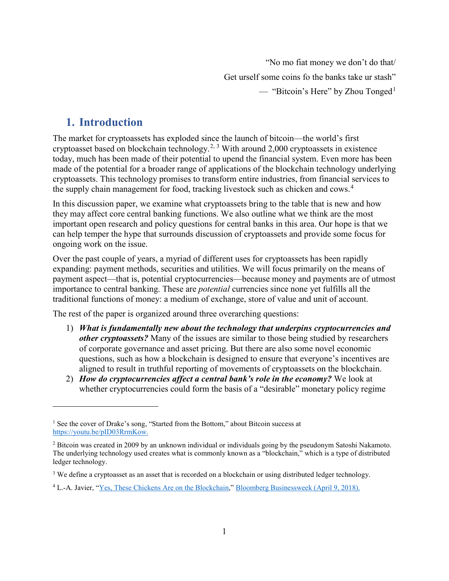"No mo fiat money we don't do that/ Get urself some coins fo the banks take ur stash" — "Bitcoin's Here" by Zhou Tonged<sup>[1](#page-4-0)</sup>

### **1. Introduction**

 $\overline{a}$ 

The market for cryptoassets has exploded since the launch of bitcoin—the world's first cryptoasset based on blockchain technology.<sup>[2,](#page-4-1) [3](#page-4-2)</sup> With around 2,000 cryptoassets in existence today, much has been made of their potential to upend the financial system. Even more has been made of the potential for a broader range of applications of the blockchain technology underlying cryptoassets. This technology promises to transform entire industries, from financial services to the supply chain management for food, tracking livestock such as chicken and cows. [4](#page-4-3)

In this discussion paper, we examine what cryptoassets bring to the table that is new and how they may affect core central banking functions. We also outline what we think are the most important open research and policy questions for central banks in this area. Our hope is that we can help temper the hype that surrounds discussion of cryptoassets and provide some focus for ongoing work on the issue.

Over the past couple of years, a myriad of different uses for cryptoassets has been rapidly expanding: payment methods, securities and utilities. We will focus primarily on the means of payment aspect—that is, potential cryptocurrencies—because money and payments are of utmost importance to central banking. These are *potential* currencies since none yet fulfills all the traditional functions of money: a medium of exchange, store of value and unit of account.

The rest of the paper is organized around three overarching questions:

- 1) *What is fundamentally new about the technology that underpins cryptocurrencies and other cryptoassets?* Many of the issues are similar to those being studied by researchers of corporate governance and asset pricing. But there are also some novel economic questions, such as how a blockchain is designed to ensure that everyone's incentives are aligned to result in truthful reporting of movements of cryptoassets on the blockchain.
- 2) *How do cryptocurrencies affect a central bank's role in the economy?* We look at whether cryptocurrencies could form the basis of a "desirable" monetary policy regime

<span id="page-4-0"></span><sup>&</sup>lt;sup>1</sup> See the cover of Drake's song, "Started from the Bottom," about Bitcoin success at [https://youtu.be/pID03RrmKow.](https://youtu.be/pID03RrmKow)

<span id="page-4-1"></span><sup>2</sup> Bitcoin was created in 2009 by an unknown individual or individuals going by the pseudonym Satoshi Nakamoto. The underlying technology used creates what is commonly known as a "blockchain," which is a type of distributed ledger technology.

<span id="page-4-2"></span><sup>&</sup>lt;sup>3</sup> We define a cryptoasset as an asset that is recorded on a blockchain or using distributed ledger technology.

<span id="page-4-3"></span><sup>4</sup> L.-A. Javier, ["Yes, These Chickens Are on the Blockchain,](https://www.bloomberg.com/news/features/2018-04-09/yes-these-chickens-are-on-the-blockchain)" Bloomberg Businessweek (April 9, 2018).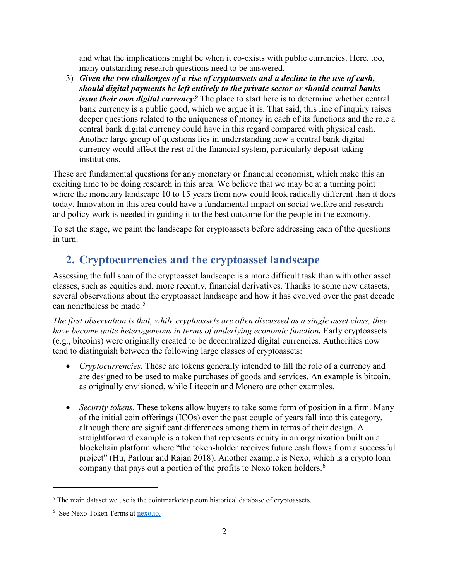and what the implications might be when it co-exists with public currencies. Here, too, many outstanding research questions need to be answered.

3) *Given the two challenges of a rise of cryptoassets and a decline in the use of cash, should digital payments be left entirely to the private sector or should central banks issue their own digital currency?* The place to start here is to determine whether central bank currency is a public good, which we argue it is. That said, this line of inquiry raises deeper questions related to the uniqueness of money in each of its functions and the role a central bank digital currency could have in this regard compared with physical cash. Another large group of questions lies in understanding how a central bank digital currency would affect the rest of the financial system, particularly deposit-taking institutions.

These are fundamental questions for any monetary or financial economist, which make this an exciting time to be doing research in this area. We believe that we may be at a turning point where the monetary landscape 10 to 15 years from now could look radically different than it does today. Innovation in this area could have a fundamental impact on social welfare and research and policy work is needed in guiding it to the best outcome for the people in the economy.

To set the stage, we paint the landscape for cryptoassets before addressing each of the questions in turn.

## **2. Cryptocurrencies and the cryptoasset landscape**

Assessing the full span of the cryptoasset landscape is a more difficult task than with other asset classes, such as equities and, more recently, financial derivatives. Thanks to some new datasets, several observations about the cryptoasset landscape and how it has evolved over the past decade can nonetheless be made. [5](#page-5-0)

*The first observation is that, while cryptoassets are often discussed as a single asset class, they have become quite heterogeneous in terms of underlying economic function.* Early cryptoassets (e.g., bitcoins) were originally created to be decentralized digital currencies. Authorities now tend to distinguish between the following large classes of cryptoassets:

- *Cryptocurrencies.* These are tokens generally intended to fill the role of a currency and are designed to be used to make purchases of goods and services. An example is bitcoin, as originally envisioned, while Litecoin and Monero are other examples.
- *Security tokens*. These tokens allow buyers to take some form of position in a firm. Many of the initial coin offerings (ICOs) over the past couple of years fall into this category, although there are significant differences among them in terms of their design. A straightforward example is a token that represents equity in an organization built on a blockchain platform where "the token-holder receives future cash flows from a successful project" (Hu, Parlour and Rajan 2018). Another example is Nexo, which is a crypto loan company that pays out a portion of the profits to Nexo token holders.<sup>[6](#page-5-1)</sup>

<span id="page-5-0"></span><sup>&</sup>lt;sup>5</sup> The main dataset we use is the cointmarketcap.com historical database of cryptoassets.

<span id="page-5-1"></span><sup>&</sup>lt;sup>6</sup> See Nexo Token Terms at **nexo.io.**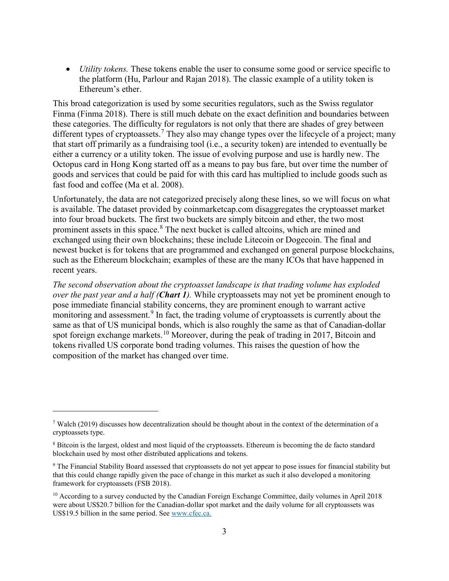• *Utility tokens.* These tokens enable the user to consume some good or service specific to the platform (Hu, Parlour and Rajan 2018). The classic example of a utility token is Ethereum's ether.

This broad categorization is used by some securities regulators, such as the Swiss regulator Finma (Finma 2018). There is still much debate on the exact definition and boundaries between these categories. The difficulty for regulators is not only that there are shades of grey between different types of cryptoassets.<sup>[7](#page-6-0)</sup> They also may change types over the lifecycle of a project; many that start off primarily as a fundraising tool (i.e., a security token) are intended to eventually be either a currency or a utility token. The issue of evolving purpose and use is hardly new. The Octopus card in Hong Kong started off as a means to pay bus fare, but over time the number of goods and services that could be paid for with this card has multiplied to include goods such as fast food and coffee (Ma et al. 2008).

Unfortunately, the data are not categorized precisely along these lines, so we will focus on what is available. The dataset provided by coinmarketcap.com disaggregates the cryptoasset market into four broad buckets. The first two buckets are simply bitcoin and ether, the two most prominent assets in this space.<sup>[8](#page-6-1)</sup> The next bucket is called altcoins, which are mined and exchanged using their own blockchains; these include Litecoin or Dogecoin. The final and newest bucket is for tokens that are programmed and exchanged on general purpose blockchains, such as the Ethereum blockchain; examples of these are the many ICOs that have happened in recent years.

*The second observation about the cryptoasset landscape is that trading volume has exploded over the past year and a half (Chart 1).* While cryptoassets may not yet be prominent enough to pose immediate financial stability concerns, they are prominent enough to warrant active monitoring and assessment.<sup>[9](#page-6-2)</sup> In fact, the trading volume of cryptoassets is currently about the same as that of US municipal bonds, which is also roughly the same as that of Canadian-dollar spot foreign exchange markets.<sup>[10](#page-6-3)</sup> Moreover, during the peak of trading in 2017, Bitcoin and tokens rivalled US corporate bond trading volumes. This raises the question of how the composition of the market has changed over time.

<span id="page-6-0"></span><sup>7</sup> Walch (2019) discusses how decentralization should be thought about in the context of the determination of a cryptoassets type.

<span id="page-6-1"></span><sup>&</sup>lt;sup>8</sup> Bitcoin is the largest, oldest and most liquid of the cryptoassets. Ethereum is becoming the de facto standard blockchain used by most other distributed applications and tokens.

<span id="page-6-2"></span><sup>9</sup> The Financial Stability Board assessed that cryptoassets do not yet appear to pose issues for financial stability but that this could change rapidly given the pace of change in this market as such it also developed a monitoring framework for cryptoassets (FSB 2018).

<span id="page-6-3"></span> $10$  According to a survey conducted by the Canadian Foreign Exchange Committee, daily volumes in April 2018 were about US\$20.7 billion for the Canadian-dollar spot market and the daily volume for all cryptoassets was US\$19.5 billion in the same period. See [www.cfec.ca.](http://www.cfec.ca/)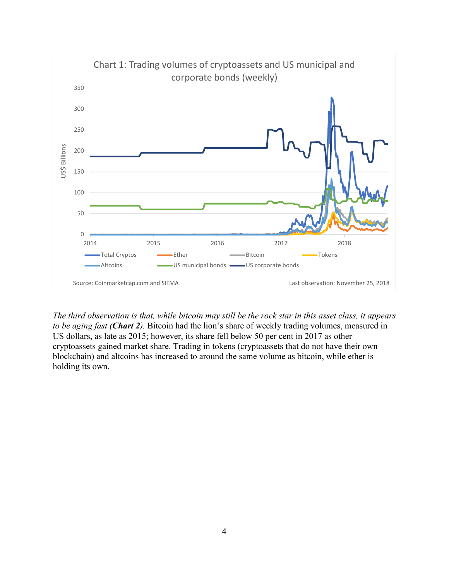

*The third observation is that, while bitcoin may still be the rock star in this asset class, it appears to be aging fast (Chart 2).* Bitcoin had the lion's share of weekly trading volumes, measured in US dollars, as late as 2015; however, its share fell below 50 per cent in 2017 as other cryptoassets gained market share. Trading in tokens (cryptoassets that do not have their own blockchain) and altcoins has increased to around the same volume as bitcoin, while ether is holding its own.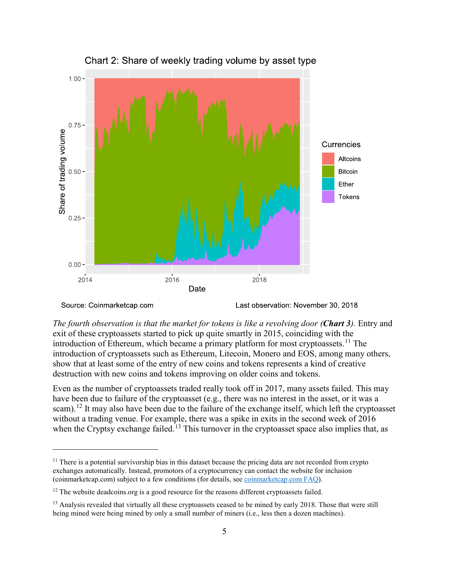

Chart 2: Share of weekly trading volume by asset type

Source: Coinmarketcap.com

 $\overline{a}$ 

Last observation: November 30, 2018

*The fourth observation is that the market for tokens is like a revolving door (Chart 3).* Entry and exit of these cryptoassets started to pick up quite smartly in 2015, coinciding with the introduction of Ethereum, which became a primary platform for most cryptoassets.<sup>[11](#page-8-0)</sup> The introduction of cryptoassets such as Ethereum, Litecoin, Monero and EOS, among many others, show that at least some of the entry of new coins and tokens represents a kind of creative destruction with new coins and tokens improving on older coins and tokens.

Even as the number of cryptoassets traded really took off in 2017, many assets failed. This may have been due to failure of the cryptoasset (e.g., there was no interest in the asset, or it was a scam).<sup>[12](#page-8-1)</sup> It may also have been due to the failure of the exchange itself, which left the cryptoasset without a trading venue. For example, there was a spike in exits in the second week of 2016 when the Cryptsy exchange failed.<sup>[13](#page-8-2)</sup> This turnover in the cryptoasset space also implies that, as

<span id="page-8-0"></span><sup>&</sup>lt;sup>11</sup> There is a potential survivorship bias in this dataset because the pricing data are not recorded from crypto exchanges automatically. Instead, promotors of a cryptocurrency can contact the website for inclusion (coinmarketcap.com) subject to a few conditions (for details, see [coinmarketcap.com FAQ\)](https://coinmarketcap.com/faq).

<span id="page-8-1"></span> $12$  The website deadcoins.org is a good resource for the reasons different cryptoassets failed.

<span id="page-8-2"></span><sup>&</sup>lt;sup>13</sup> Analysis revealed that virtually all these cryptoassets ceased to be mined by early 2018. Those that were still being mined were being mined by only a small number of miners (i.e., less then a dozen machines).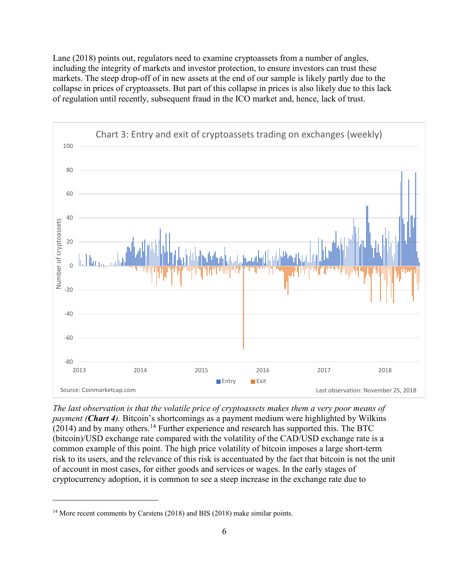Lane (2018) points out, regulators need to examine cryptoassets from a number of angles, including the integrity of markets and investor protection, to ensure investors can trust these markets. The steep drop-off of in new assets at the end of our sample is likely partly due to the collapse in prices of cryptoassets. But part of this collapse in prices is also likely due to this lack of regulation until recently, subsequent fraud in the ICO market and, hence, lack of trust.



*The last observation is that the volatile price of cryptoassets makes them a very poor means of payment (Chart 4).* Bitcoin's shortcomings as a payment medium were highlighted by Wilkins  $(2014)$  $(2014)$  $(2014)$  and by many others.<sup>14</sup> Further experience and research has supported this. The BTC (bitcoin)/USD exchange rate compared with the volatility of the CAD/USD exchange rate is a common example of this point. The high price volatility of bitcoin imposes a large short-term risk to its users, and the relevance of this risk is accentuated by the fact that bitcoin is not the unit of account in most cases, for either goods and services or wages. In the early stages of cryptocurrency adoption, it is common to see a steep increase in the exchange rate due to

<span id="page-9-0"></span><sup>&</sup>lt;sup>14</sup> More recent comments by Carstens (2018) and BIS (2018) make similar points.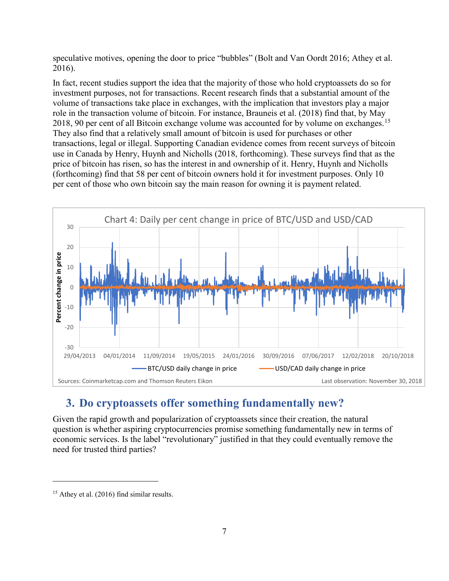speculative motives, opening the door to price "bubbles" (Bolt and Van Oordt 2016; Athey et al. 2016).

In fact, recent studies support the idea that the majority of those who hold cryptoassets do so for investment purposes, not for transactions. Recent research finds that a substantial amount of the volume of transactions take place in exchanges, with the implication that investors play a major role in the transaction volume of bitcoin. For instance, Brauneis et al. (2018) find that, by May 2018, 90 per cent of all Bitcoin exchange volume was accounted for by volume on exchanges.<sup>[15](#page-10-0)</sup> They also find that a relatively small amount of bitcoin is used for purchases or other transactions, legal or illegal. Supporting Canadian evidence comes from recent surveys of bitcoin use in Canada by Henry, Huynh and Nicholls (2018, forthcoming). These surveys find that as the price of bitcoin has risen, so has the interest in and ownership of it. Henry, Huynh and Nicholls (forthcoming) find that 58 per cent of bitcoin owners hold it for investment purposes. Only 10 per cent of those who own bitcoin say the main reason for owning it is payment related.



## **3. Do cryptoassets offer something fundamentally new?**

Given the rapid growth and popularization of cryptoassets since their creation, the natural question is whether aspiring cryptocurrencies promise something fundamentally new in terms of economic services. Is the label "revolutionary" justified in that they could eventually remove the need for trusted third parties?

<span id="page-10-0"></span><sup>&</sup>lt;sup>15</sup> Athey et al. (2016) find similar results.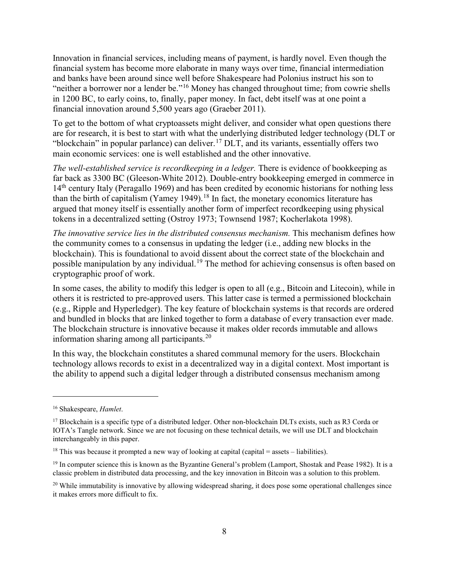Innovation in financial services, including means of payment, is hardly novel. Even though the financial system has become more elaborate in many ways over time, financial intermediation and banks have been around since well before Shakespeare had Polonius instruct his son to "neither a borrower nor a lender be."<sup>[16](#page-11-0)</sup> Money has changed throughout time; from cowrie shells in 1200 BC, to early coins, to, finally, paper money. In fact, debt itself was at one point a financial innovation around 5,500 years ago (Graeber 2011).

To get to the bottom of what cryptoassets might deliver, and consider what open questions there are for research, it is best to start with what the underlying distributed ledger technology (DLT or "blockchain" in popular parlance) can deliver.<sup>[17](#page-11-1)</sup> DLT, and its variants, essentially offers two main economic services: one is well established and the other innovative.

*The well-established service is recordkeeping in a ledger.* There is evidence of bookkeeping as far back as 3300 BC (Gleeson-White 2012). Double-entry bookkeeping emerged in commerce in 14<sup>th</sup> century Italy (Peragallo 1969) and has been credited by economic historians for nothing less than the birth of capitalism (Yamey 1949).<sup>[18](#page-11-2)</sup> In fact, the monetary economics literature has argued that money itself is essentially another form of imperfect recordkeeping using physical tokens in a decentralized setting (Ostroy 1973; Townsend 1987; Kocherlakota 1998).

*The innovative service lies in the distributed consensus mechanism.* This mechanism defines how the community comes to a consensus in updating the ledger (i.e., adding new blocks in the blockchain). This is foundational to avoid dissent about the correct state of the blockchain and possible manipulation by any individual.<sup>[19](#page-11-3)</sup> The method for achieving consensus is often based on cryptographic proof of work.

In some cases, the ability to modify this ledger is open to all (e.g., Bitcoin and Litecoin), while in others it is restricted to pre-approved users. This latter case is termed a permissioned blockchain (e.g., Ripple and Hyperledger). The key feature of blockchain systems is that records are ordered and bundled in blocks that are linked together to form a database of every transaction ever made. The blockchain structure is innovative because it makes older records immutable and allows information sharing among all participants. $^{20}$  $^{20}$  $^{20}$ 

In this way, the blockchain constitutes a shared communal memory for the users. Blockchain technology allows records to exist in a decentralized way in a digital context. Most important is the ability to append such a digital ledger through a distributed consensus mechanism among

<span id="page-11-0"></span><sup>16</sup> Shakespeare, *Hamlet*.

<span id="page-11-1"></span> $17$  Blockchain is a specific type of a distributed ledger. Other non-blockchain DLTs exists, such as R3 Corda or IOTA's Tangle network. Since we are not focusing on these technical details, we will use DLT and blockchain interchangeably in this paper.

<span id="page-11-2"></span><sup>&</sup>lt;sup>18</sup> This was because it prompted a new way of looking at capital (capital  $=$  assets  $-$  liabilities).

<span id="page-11-3"></span> $19$  In computer science this is known as the Byzantine General's problem (Lamport, Shostak and Pease 1982). It is a classic problem in distributed data processing, and the key innovation in Bitcoin was a solution to this problem.

<span id="page-11-4"></span> $^{20}$  While immutability is innovative by allowing widespread sharing, it does pose some operational challenges since it makes errors more difficult to fix.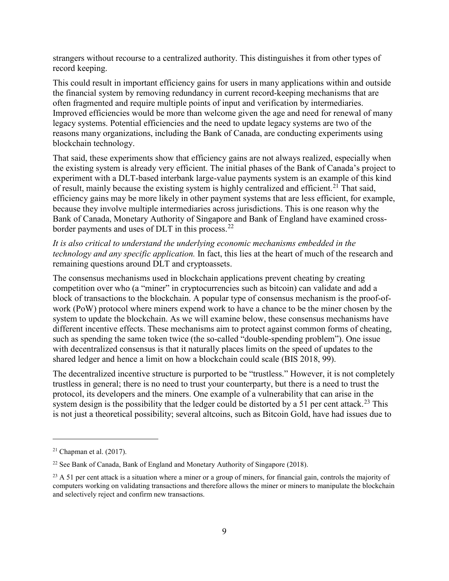strangers without recourse to a centralized authority. This distinguishes it from other types of record keeping.

This could result in important efficiency gains for users in many applications within and outside the financial system by removing redundancy in current record-keeping mechanisms that are often fragmented and require multiple points of input and verification by intermediaries. Improved efficiencies would be more than welcome given the age and need for renewal of many legacy systems. Potential efficiencies and the need to update legacy systems are two of the reasons many organizations, including the Bank of Canada, are conducting experiments using blockchain technology.

That said, these experiments show that efficiency gains are not always realized, especially when the existing system is already very efficient. The initial phases of the Bank of Canada's project to experiment with a DLT-based interbank large-value payments system is an example of this kind of result, mainly because the existing system is highly centralized and efficient.<sup>[21](#page-12-0)</sup> That said, efficiency gains may be more likely in other payment systems that are less efficient, for example, because they involve multiple intermediaries across jurisdictions. This is one reason why the Bank of Canada, Monetary Authority of Singapore and Bank of England have examined cross-border payments and uses of DLT in this process.<sup>[22](#page-12-1)</sup>

*It is also critical to understand the underlying economic mechanisms embedded in the technology and any specific application.* In fact, this lies at the heart of much of the research and remaining questions around DLT and cryptoassets.

The consensus mechanisms used in blockchain applications prevent cheating by creating competition over who (a "miner" in cryptocurrencies such as bitcoin) can validate and add a block of transactions to the blockchain. A popular type of consensus mechanism is the proof-ofwork (PoW) protocol where miners expend work to have a chance to be the miner chosen by the system to update the blockchain. As we will examine below, these consensus mechanisms have different incentive effects. These mechanisms aim to protect against common forms of cheating, such as spending the same token twice (the so-called "double-spending problem"). One issue with decentralized consensus is that it naturally places limits on the speed of updates to the shared ledger and hence a limit on how a blockchain could scale (BIS 2018, 99).

The decentralized incentive structure is purported to be "trustless." However, it is not completely trustless in general; there is no need to trust your counterparty, but there is a need to trust the protocol, its developers and the miners. One example of a vulnerability that can arise in the system design is the possibility that the ledger could be distorted by a 51 per cent attack.<sup>[23](#page-12-2)</sup> This is not just a theoretical possibility; several altcoins, such as Bitcoin Gold, have had issues due to

<span id="page-12-0"></span> $21$  Chapman et al. (2017).

<span id="page-12-1"></span> $22$  See Bank of Canada, Bank of England and Monetary Authority of Singapore (2018).

<span id="page-12-2"></span> $^{23}$  A 51 per cent attack is a situation where a miner or a group of miners, for financial gain, controls the majority of computers working on validating transactions and therefore allows the miner or miners to manipulate the blockchain and selectively reject and confirm new transactions.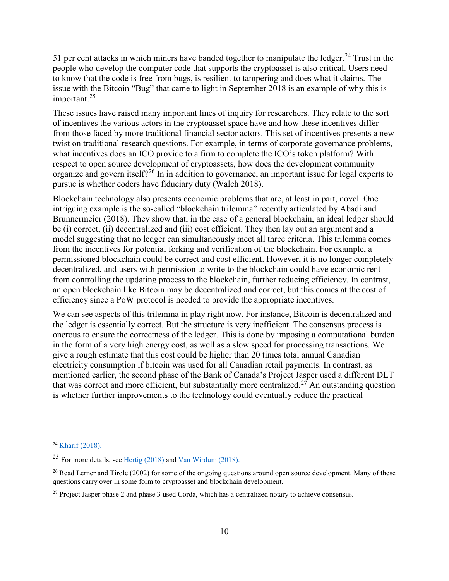51 per cent attacks in which miners have banded together to manipulate the ledger.<sup>[24](#page-13-0)</sup> Trust in the people who develop the computer code that supports the cryptoasset is also critical. Users need to know that the code is free from bugs, is resilient to tampering and does what it claims. The issue with the Bitcoin "Bug" that came to light in September 2018 is an example of why this is important.<sup>[25](#page-13-1)</sup>

These issues have raised many important lines of inquiry for researchers. They relate to the sort of incentives the various actors in the cryptoasset space have and how these incentives differ from those faced by more traditional financial sector actors. This set of incentives presents a new twist on traditional research questions. For example, in terms of corporate governance problems, what incentives does an ICO provide to a firm to complete the ICO's token platform? With respect to open source development of cryptoassets, how does the development community organize and govern itself?<sup>[26](#page-13-2)</sup> In in addition to governance, an important issue for legal experts to pursue is whether coders have fiduciary duty (Walch 2018).

Blockchain technology also presents economic problems that are, at least in part, novel. One intriguing example is the so-called "blockchain trilemma" recently articulated by Abadi and Brunnermeier (2018). They show that, in the case of a general blockchain, an ideal ledger should be (i) correct, (ii) decentralized and (iii) cost efficient. They then lay out an argument and a model suggesting that no ledger can simultaneously meet all three criteria. This trilemma comes from the incentives for potential forking and verification of the blockchain. For example, a permissioned blockchain could be correct and cost efficient. However, it is no longer completely decentralized, and users with permission to write to the blockchain could have economic rent from controlling the updating process to the blockchain, further reducing efficiency. In contrast, an open blockchain like Bitcoin may be decentralized and correct, but this comes at the cost of efficiency since a PoW protocol is needed to provide the appropriate incentives.

We can see aspects of this trilemma in play right now. For instance, Bitcoin is decentralized and the ledger is essentially correct. But the structure is very inefficient. The consensus process is onerous to ensure the correctness of the ledger. This is done by imposing a computational burden in the form of a very high energy cost, as well as a slow speed for processing transactions. We give a rough estimate that this cost could be higher than 20 times total annual Canadian electricity consumption if bitcoin was used for all Canadian retail payments. In contrast, as mentioned earlier, the second phase of the Bank of Canada's Project Jasper used a different DLT that was correct and more efficient, but substantially more centralized.<sup>[27](#page-13-3)</sup> An outstanding question is whether further improvements to the technology could eventually reduce the practical

<span id="page-13-0"></span><sup>24</sup> Kharif [\(2018\).](https://www.bloomberg.com/news/articles/2018-05-29/cryptocurrency-attacks-are-rising-as-rouge-miners-exploit-flaw)

<span id="page-13-1"></span><sup>&</sup>lt;sup>25</sup> For more details, see [Hertig \(2018\)](https://www.coindesk.com/the-latest-bitcoin-bug-was-so-bad-developers-kept-its-full-details-a-secret) and  $\frac{\text{Van Wirdum}}{\text{2018}}$ .

<span id="page-13-2"></span><sup>&</sup>lt;sup>26</sup> Read Lerner and Tirole (2002) for some of the ongoing questions around open source development. Many of these questions carry over in some form to cryptoasset and blockchain development.

<span id="page-13-3"></span><sup>&</sup>lt;sup>27</sup> Project Jasper phase 2 and phase 3 used Corda, which has a centralized notary to achieve consensus.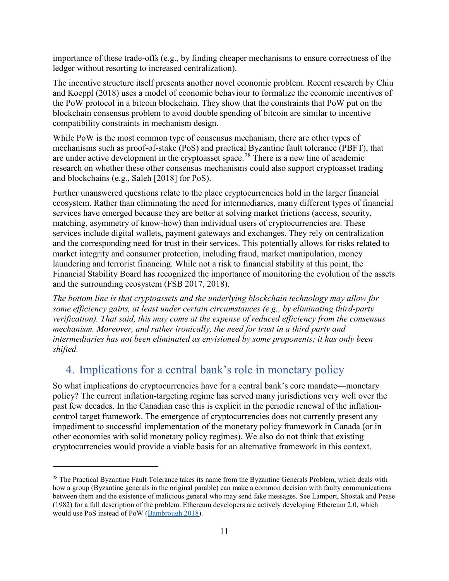importance of these trade-offs (e.g., by finding cheaper mechanisms to ensure correctness of the ledger without resorting to increased centralization).

The incentive structure itself presents another novel economic problem. Recent research by Chiu and Koeppl (2018) uses a model of economic behaviour to formalize the economic incentives of the PoW protocol in a bitcoin blockchain. They show that the constraints that PoW put on the blockchain consensus problem to avoid double spending of bitcoin are similar to incentive compatibility constraints in mechanism design.

While PoW is the most common type of consensus mechanism, there are other types of mechanisms such as proof-of-stake (PoS) and practical Byzantine fault tolerance (PBFT), that are under active development in the cryptoasset space.<sup>[28](#page-14-0)</sup> There is a new line of academic research on whether these other consensus mechanisms could also support cryptoasset trading and blockchains (e.g., Saleh [2018] for PoS).

Further unanswered questions relate to the place cryptocurrencies hold in the larger financial ecosystem. Rather than eliminating the need for intermediaries, many different types of financial services have emerged because they are better at solving market frictions (access, security, matching, asymmetry of know-how) than individual users of cryptocurrencies are. These services include digital wallets, payment gateways and exchanges. They rely on centralization and the corresponding need for trust in their services. This potentially allows for risks related to market integrity and consumer protection, including fraud, market manipulation, money laundering and terrorist financing. While not a risk to financial stability at this point, the Financial Stability Board has recognized the importance of monitoring the evolution of the assets and the surrounding ecosystem (FSB 2017, 2018).

*The bottom line is that cryptoassets and the underlying blockchain technology may allow for some efficiency gains, at least under certain circumstances (e.g., by eliminating third-party verification). That said, this may come at the expense of reduced efficiency from the consensus mechanism. Moreover, and rather ironically, the need for trust in a third party and intermediaries has not been eliminated as envisioned by some proponents; it has only been shifted.*

#### 4. Implications for a central bank's role in monetary policy

 $\overline{a}$ 

So what implications do cryptocurrencies have for a central bank's core mandate—monetary policy? The current inflation-targeting regime has served many jurisdictions very well over the past few decades. In the Canadian case this is explicit in the periodic renewal of the inflationcontrol target framework. The emergence of cryptocurrencies does not currently present any impediment to successful implementation of the monetary policy framework in Canada (or in other economies with solid monetary policy regimes). We also do not think that existing cryptocurrencies would provide a viable basis for an alternative framework in this context.

<span id="page-14-0"></span><sup>&</sup>lt;sup>28</sup> The Practical Byzantine Fault Tolerance takes its name from the Byzantine Generals Problem, which deals with how a group (Byzantine generals in the original parable) can make a common decision with faulty communications between them and the existence of malicious general who may send fake messages. See Lamport, Shostak and Pease (1982) for a full description of the problem. Ethereum developers are actively developing Ethereum 2.0, which would use PoS instead of PoW [\(Bambrough](https://www.forbes.com/sites/billybambrough/2018/11/05/ethereum-price-jumps-on-major-bank-approval-and-approaching-proof-of-stake/#5c1749795621) 2018).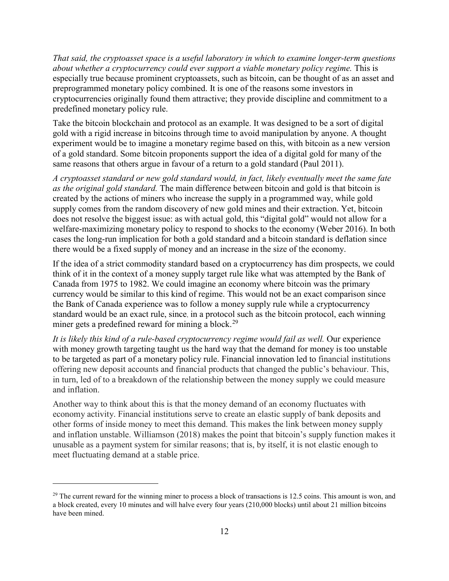*That said, the cryptoasset space is a useful laboratory in which to examine longer-term questions about whether a cryptocurrency could ever support a viable monetary policy regime.* This is especially true because prominent cryptoassets, such as bitcoin, can be thought of as an asset and preprogrammed monetary policy combined. It is one of the reasons some investors in cryptocurrencies originally found them attractive; they provide discipline and commitment to a predefined monetary policy rule.

Take the bitcoin blockchain and protocol as an example. It was designed to be a sort of digital gold with a rigid increase in bitcoins through time to avoid manipulation by anyone. A thought experiment would be to imagine a monetary regime based on this, with bitcoin as a new version of a gold standard. Some bitcoin proponents support the idea of a digital gold for many of the same reasons that others argue in favour of a return to a gold standard (Paul 2011).

*A cryptoasset standard or new gold standard would, in fact, likely eventually meet the same fate as the original gold standard.* The main difference between bitcoin and gold is that bitcoin is created by the actions of miners who increase the supply in a programmed way, while gold supply comes from the random discovery of new gold mines and their extraction. Yet, bitcoin does not resolve the biggest issue: as with actual gold, this "digital gold" would not allow for a welfare-maximizing monetary policy to respond to shocks to the economy (Weber 2016). In both cases the long-run implication for both a gold standard and a bitcoin standard is deflation since there would be a fixed supply of money and an increase in the size of the economy.

If the idea of a strict commodity standard based on a cryptocurrency has dim prospects, we could think of it in the context of a money supply target rule like what was attempted by the Bank of Canada from 1975 to 1982. We could imagine an economy where bitcoin was the primary currency would be similar to this kind of regime. This would not be an exact comparison since the Bank of Canada experience was to follow a money supply rule while a cryptocurrency standard would be an exact rule, since, in a protocol such as the bitcoin protocol, each winning miner gets a predefined reward for mining a block.<sup>[29](#page-15-0)</sup>

*It is likely this kind of a rule-based cryptocurrency regime would fail as well.* Our experience with money growth targeting taught us the hard way that the demand for money is too unstable to be targeted as part of a monetary policy rule. Financial innovation led to financial institutions offering new deposit accounts and financial products that changed the public's behaviour. This, in turn, led of to a breakdown of the relationship between the money supply we could measure and inflation.

Another way to think about this is that the money demand of an economy fluctuates with economy activity. Financial institutions serve to create an elastic supply of bank deposits and other forms of inside money to meet this demand. This makes the link between money supply and inflation unstable. Williamson (2018) makes the point that bitcoin's supply function makes it unusable as a payment system for similar reasons; that is, by itself, it is not elastic enough to meet fluctuating demand at a stable price.

<span id="page-15-0"></span> $29$  The current reward for the winning miner to process a block of transactions is 12.5 coins. This amount is won, and a block created, every 10 minutes and will halve every four years (210,000 blocks) until about 21 million bitcoins have been mined.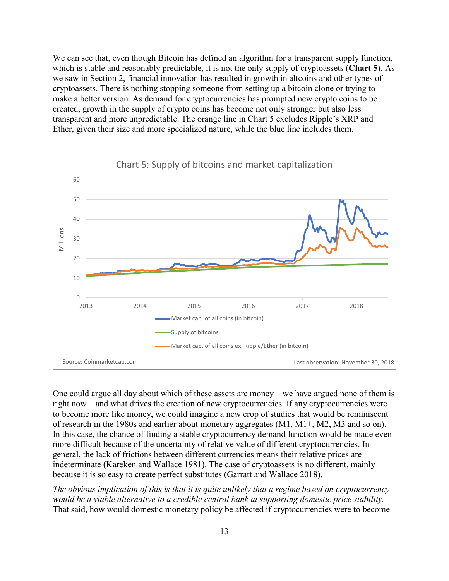We can see that, even though Bitcoin has defined an algorithm for a transparent supply function, which is stable and reasonably predictable, it is not the only supply of cryptoassets (**Chart 5**). As we saw in Section 2, financial innovation has resulted in growth in altcoins and other types of cryptoassets. There is nothing stopping someone from setting up a bitcoin clone or trying to make a better version. As demand for cryptocurrencies has prompted new crypto coins to be created, growth in the supply of crypto coins has become not only stronger but also less transparent and more unpredictable. The orange line in Chart 5 excludes Ripple's XRP and Ether, given their size and more specialized nature, while the blue line includes them.



One could argue all day about which of these assets are money—we have argued none of them is right now—and what drives the creation of new cryptocurrencies. If any cryptocurrencies were to become more like money, we could imagine a new crop of studies that would be reminiscent of research in the 1980s and earlier about monetary aggregates (M1, M1+, M2, M3 and so on). In this case, the chance of finding a stable cryptocurrency demand function would be made even more difficult because of the uncertainty of relative value of different cryptocurrencies. In general, the lack of frictions between different currencies means their relative prices are indeterminate (Kareken and Wallace 1981). The case of cryptoassets is no different, mainly because it is so easy to create perfect substitutes (Garratt and Wallace 2018).

*The obvious implication of this is that it is quite unlikely that a regime based on cryptocurrency would be a viable alternative to a credible central bank at supporting domestic price stability.* That said, how would domestic monetary policy be affected if cryptocurrencies were to become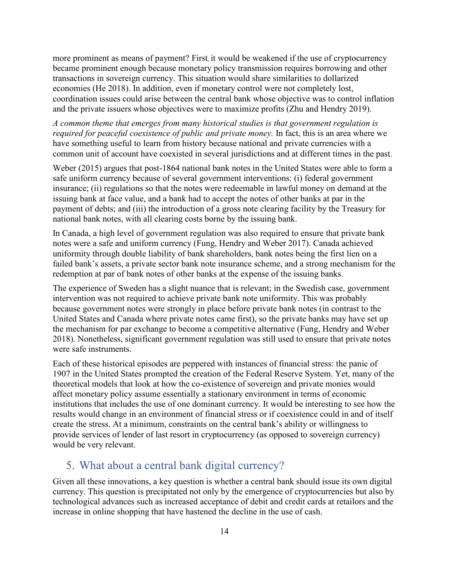more prominent as means of payment? First, it would be weakened if the use of cryptocurrency became prominent enough because monetary policy transmission requires borrowing and other transactions in sovereign currency. This situation would share similarities to dollarized economies (He 2018). In addition, even if monetary control were not completely lost, coordination issues could arise between the central bank whose objective was to control inflation and the private issuers whose objectives were to maximize profits (Zhu and Hendry 2019).

*A common theme that emerges from many historical studies is that government regulation is required for peaceful coexistence of public and private money.* In fact, this is an area where we have something useful to learn from history because national and private currencies with a common unit of account have coexisted in several jurisdictions and at different times in the past.

Weber (2015) argues that post-1864 national bank notes in the United States were able to form a safe uniform currency because of several government interventions: (i) federal government insurance; (ii) regulations so that the notes were redeemable in lawful money on demand at the issuing bank at face value, and a bank had to accept the notes of other banks at par in the payment of debts; and (iii) the introduction of a gross note clearing facility by the Treasury for national bank notes, with all clearing costs borne by the issuing bank.

In Canada, a high level of government regulation was also required to ensure that private bank notes were a safe and uniform currency (Fung, Hendry and Weber 2017). Canada achieved uniformity through double liability of bank shareholders, bank notes being the first lien on a failed bank's assets, a private sector bank note insurance scheme, and a strong mechanism for the redemption at par of bank notes of other banks at the expense of the issuing banks.

The experience of Sweden has a slight nuance that is relevant; in the Swedish case, government intervention was not required to achieve private bank note uniformity. This was probably because government notes were strongly in place before private bank notes (in contrast to the United States and Canada where private notes came first), so the private banks may have set up the mechanism for par exchange to become a competitive alternative (Fung, Hendry and Weber 2018). Nonetheless, significant government regulation was still used to ensure that private notes were safe instruments.

Each of these historical episodes are peppered with instances of financial stress: the panic of 1907 in the United States prompted the creation of the Federal Reserve System. Yet, many of the theoretical models that look at how the co-existence of sovereign and private monies would affect monetary policy assume essentially a stationary environment in terms of economic institutions that includes the use of one dominant currency. It would be interesting to see how the results would change in an environment of financial stress or if coexistence could in and of itself create the stress. At a minimum, constraints on the central bank's ability or willingness to provide services of lender of last resort in cryptocurrency (as opposed to sovereign currency) would be very relevant.

#### 5. What about a central bank digital currency?

Given all these innovations, a key question is whether a central bank should issue its own digital currency. This question is precipitated not only by the emergence of cryptocurrencies but also by technological advances such as increased acceptance of debit and credit cards at retailors and the increase in online shopping that have hastened the decline in the use of cash.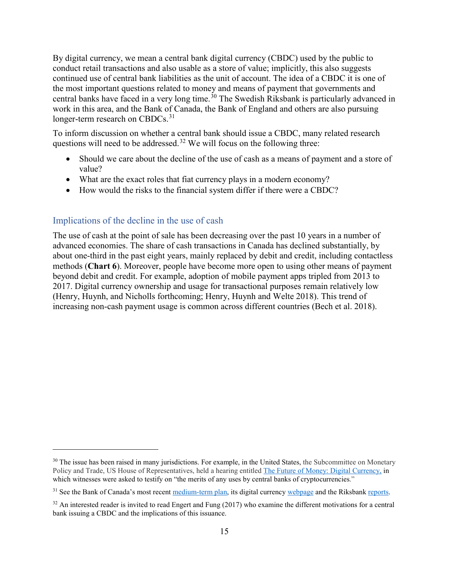By digital currency, we mean a central bank digital currency (CBDC) used by the public to conduct retail transactions and also usable as a store of value; implicitly, this also suggests continued use of central bank liabilities as the unit of account. The idea of a CBDC it is one of the most important questions related to money and means of payment that governments and central banks have faced in a very long time.<sup>[30](#page-18-0)</sup> The Swedish Riksbank is particularly advanced in work in this area, and the Bank of Canada, the Bank of England and others are also pursuing longer-term research on CBDCs.<sup>[31](#page-18-1)</sup>

To inform discussion on whether a central bank should issue a CBDC, many related research questions will need to be addressed.<sup>[32](#page-18-2)</sup> We will focus on the following three:

- Should we care about the decline of the use of cash as a means of payment and a store of value?
- What are the exact roles that fiat currency plays in a modern economy?
- How would the risks to the financial system differ if there were a CBDC?

#### Implications of the decline in the use of cash

 $\overline{a}$ 

The use of cash at the point of sale has been decreasing over the past 10 years in a number of advanced economies. The share of cash transactions in Canada has declined substantially, by about one-third in the past eight years, mainly replaced by debit and credit, including contactless methods (**Chart 6**). Moreover, people have become more open to using other means of payment beyond debit and credit. For example, adoption of mobile payment apps tripled from 2013 to 2017. Digital currency ownership and usage for transactional purposes remain relatively low (Henry, Huynh, and Nicholls forthcoming; Henry, Huynh and Welte 2018). This trend of increasing non-cash payment usage is common across different countries (Bech et al. 2018).

<span id="page-18-0"></span><sup>&</sup>lt;sup>30</sup> The issue has been raised in many jurisdictions. For example, in the United States, the Subcommittee on Monetary Policy and Trade, US House of Representatives, held a hearing entitled The Future of Money: Digital [Currency,](https://financialservices.house.gov/calendar/eventsingle.aspx?EventID=401540) in which witnesses were asked to testify on "the merits of any uses by central banks of cryptocurrencies."

<span id="page-18-1"></span><sup>&</sup>lt;sup>31</sup> See the Bank of Canada's most recen[t medium-term plan,](https://www.bankofcanada.ca/about/governance-documents/2019-21-medium-term-plan-leading-new-era/) its digital currency [webpage](https://www.bankofcanada.ca/research/digital-currencies-and-fintech/) and the Riksbank [reports.](https://www.riksbank.se/en-gb/payments--cash/e-krona/)

<span id="page-18-2"></span> $32$  An interested reader is invited to read Engert and Fung (2017) who examine the different motivations for a central bank issuing a CBDC and the implications of this issuance.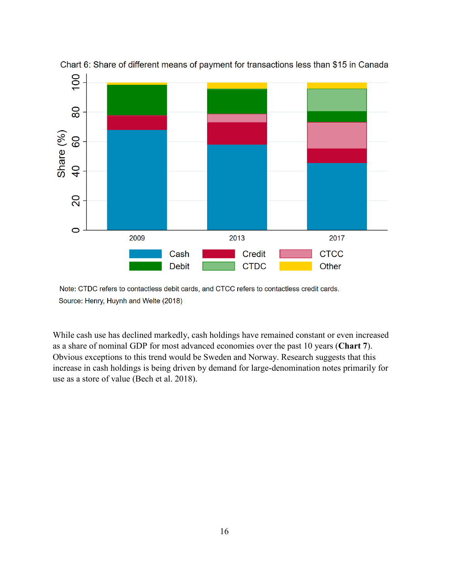

Source: Henry, Huynh and Welte (2018)

While cash use has declined markedly, cash holdings have remained constant or even increased as a share of nominal GDP for most advanced economies over the past 10 years (**Chart 7**). Obvious exceptions to this trend would be Sweden and Norway. Research suggests that this increase in cash holdings is being driven by demand for large-denomination notes primarily for use as a store of value (Bech et al. 2018).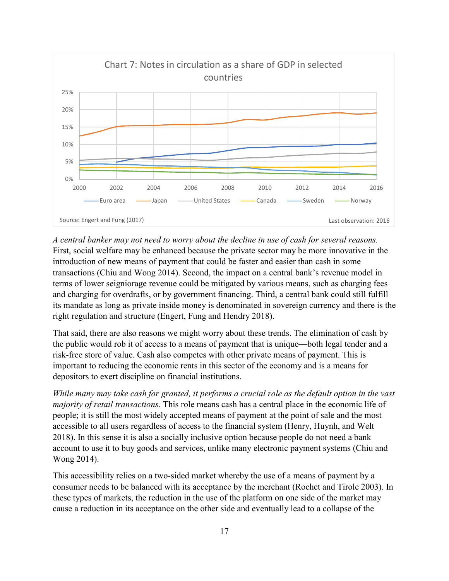

*A central banker may not need to worry about the decline in use of cash for several reasons.* First, social welfare may be enhanced because the private sector may be more innovative in the introduction of new means of payment that could be faster and easier than cash in some transactions (Chiu and Wong 2014). Second, the impact on a central bank's revenue model in terms of lower seigniorage revenue could be mitigated by various means, such as charging fees and charging for overdrafts, or by government financing. Third, a central bank could still fulfill its mandate as long as private inside money is denominated in sovereign currency and there is the right regulation and structure (Engert, Fung and Hendry 2018).

That said, there are also reasons we might worry about these trends. The elimination of cash by the public would rob it of access to a means of payment that is unique—both legal tender and a risk-free store of value. Cash also competes with other private means of payment. This is important to reducing the economic rents in this sector of the economy and is a means for depositors to exert discipline on financial institutions.

*While many may take cash for granted, it performs a crucial role as the default option in the vast majority of retail transactions.* This role means cash has a central place in the economic life of people; it is still the most widely accepted means of payment at the point of sale and the most accessible to all users regardless of access to the financial system (Henry, Huynh, and Welt 2018). In this sense it is also a socially inclusive option because people do not need a bank account to use it to buy goods and services, unlike many electronic payment systems (Chiu and Wong 2014).

This accessibility relies on a two-sided market whereby the use of a means of payment by a consumer needs to be balanced with its acceptance by the merchant (Rochet and Tirole 2003). In these types of markets, the reduction in the use of the platform on one side of the market may cause a reduction in its acceptance on the other side and eventually lead to a collapse of the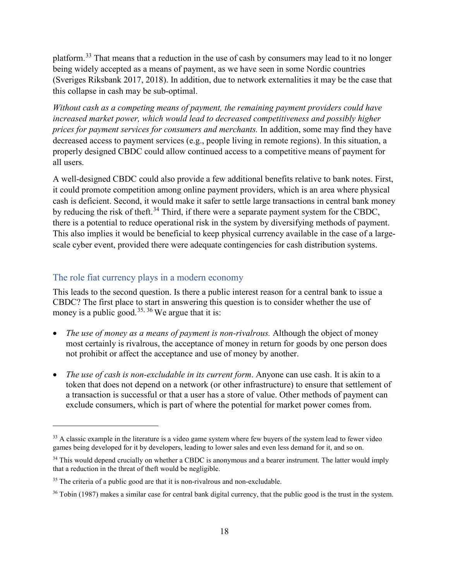platform.[33](#page-21-0) That means that a reduction in the use of cash by consumers may lead to it no longer being widely accepted as a means of payment, as we have seen in some Nordic countries (Sveriges Riksbank 2017, 2018). In addition, due to network externalities it may be the case that this collapse in cash may be sub-optimal.

*Without cash as a competing means of payment, the remaining payment providers could have increased market power, which would lead to decreased competitiveness and possibly higher prices for payment services for consumers and merchants.* In addition, some may find they have decreased access to payment services (e.g., people living in remote regions). In this situation, a properly designed CBDC could allow continued access to a competitive means of payment for all users.

A well-designed CBDC could also provide a few additional benefits relative to bank notes. First, it could promote competition among online payment providers, which is an area where physical cash is deficient. Second, it would make it safer to settle large transactions in central bank money by reducing the risk of theft.<sup>[34](#page-21-1)</sup> Third, if there were a separate payment system for the CBDC, there is a potential to reduce operational risk in the system by diversifying methods of payment. This also implies it would be beneficial to keep physical currency available in the case of a largescale cyber event, provided there were adequate contingencies for cash distribution systems.

#### The role fiat currency plays in a modern economy

 $\overline{a}$ 

This leads to the second question. Is there a public interest reason for a central bank to issue a CBDC? The first place to start in answering this question is to consider whether the use of money is a public good.<sup>[35,](#page-21-2) [36](#page-21-3)</sup> We argue that it is:

- *The use of money as a means of payment is non-rivalrous.* Although the object of money most certainly is rivalrous, the acceptance of money in return for goods by one person does not prohibit or affect the acceptance and use of money by another.
- *The use of cash is non-excludable in its current form*. Anyone can use cash. It is akin to a token that does not depend on a network (or other infrastructure) to ensure that settlement of a transaction is successful or that a user has a store of value. Other methods of payment can exclude consumers, which is part of where the potential for market power comes from.

<span id="page-21-0"></span><sup>&</sup>lt;sup>33</sup> A classic example in the literature is a video game system where few buyers of the system lead to fewer video games being developed for it by developers, leading to lower sales and even less demand for it, and so on.

<span id="page-21-1"></span><sup>&</sup>lt;sup>34</sup> This would depend crucially on whether a CBDC is anonymous and a bearer instrument. The latter would imply that a reduction in the threat of theft would be negligible.

<span id="page-21-2"></span> $35$  The criteria of a public good are that it is non-rivalrous and non-excludable.

<span id="page-21-3"></span><sup>&</sup>lt;sup>36</sup> Tobin (1987) makes a similar case for central bank digital currency, that the public good is the trust in the system.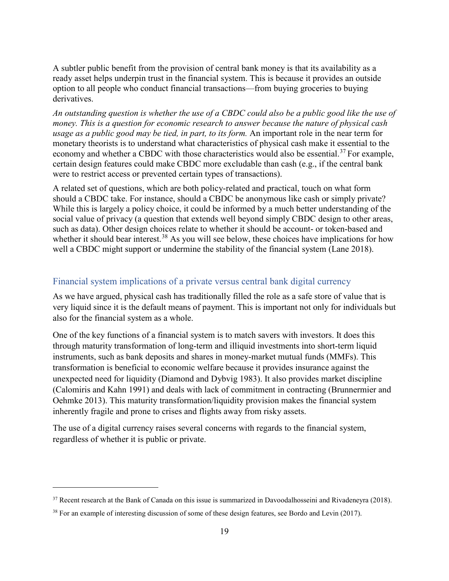A subtler public benefit from the provision of central bank money is that its availability as a ready asset helps underpin trust in the financial system. This is because it provides an outside option to all people who conduct financial transactions—from buying groceries to buying derivatives.

*An outstanding question is whether the use of a CBDC could also be a public good like the use of money. This is a question for economic research to answer because the nature of physical cash usage as a public good may be tied, in part, to its form.* An important role in the near term for monetary theorists is to understand what characteristics of physical cash make it essential to the economy and whether a CBDC with those characteristics would also be essential.<sup>[37](#page-22-0)</sup> For example, certain design features could make CBDC more excludable than cash (e.g., if the central bank were to restrict access or prevented certain types of transactions).

A related set of questions, which are both policy-related and practical, touch on what form should a CBDC take. For instance, should a CBDC be anonymous like cash or simply private? While this is largely a policy choice, it could be informed by a much better understanding of the social value of privacy (a question that extends well beyond simply CBDC design to other areas, such as data). Other design choices relate to whether it should be account- or token-based and whether it should bear interest.<sup>[38](#page-22-1)</sup> As you will see below, these choices have implications for how well a CBDC might support or undermine the stability of the financial system (Lane 2018).

#### Financial system implications of a private versus central bank digital currency

As we have argued, physical cash has traditionally filled the role as a safe store of value that is very liquid since it is the default means of payment. This is important not only for individuals but also for the financial system as a whole.

One of the key functions of a financial system is to match savers with investors. It does this through maturity transformation of long-term and illiquid investments into short-term liquid instruments, such as bank deposits and shares in money-market mutual funds (MMFs). This transformation is beneficial to economic welfare because it provides insurance against the unexpected need for liquidity (Diamond and Dybvig 1983). It also provides market discipline (Calomiris and Kahn 1991) and deals with lack of commitment in contracting (Brunnermier and Oehmke 2013). This maturity transformation/liquidity provision makes the financial system inherently fragile and prone to crises and flights away from risky assets.

The use of a digital currency raises several concerns with regards to the financial system, regardless of whether it is public or private.

<span id="page-22-0"></span><sup>&</sup>lt;sup>37</sup> Recent research at the Bank of Canada on this issue is summarized in Davoodalhosseini and Rivadeneyra (2018).

<span id="page-22-1"></span><sup>&</sup>lt;sup>38</sup> For an example of interesting discussion of some of these design features, see Bordo and Levin (2017).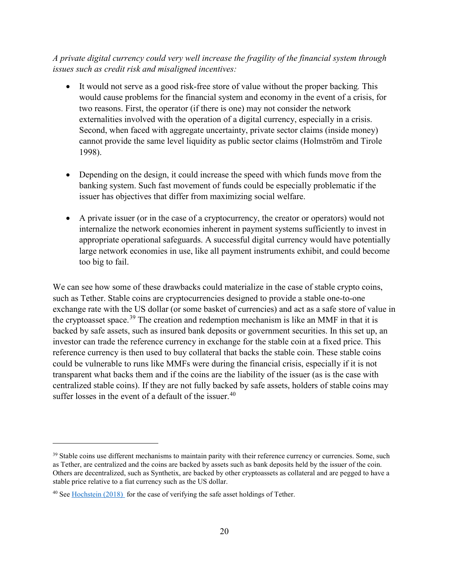*A private digital currency could very well increase the fragility of the financial system through issues such as credit risk and misaligned incentives:*

- It would not serve as a good risk-free store of value without the proper backing*.* This would cause problems for the financial system and economy in the event of a crisis, for two reasons. First, the operator (if there is one) may not consider the network externalities involved with the operation of a digital currency, especially in a crisis. Second, when faced with aggregate uncertainty, private sector claims (inside money) cannot provide the same level liquidity as public sector claims (Holmström and Tirole 1998).
- Depending on the design, it could increase the speed with which funds move from the banking system. Such fast movement of funds could be especially problematic if the issuer has objectives that differ from maximizing social welfare.
- A private issuer (or in the case of a cryptocurrency, the creator or operators) would not internalize the network economies inherent in payment systems sufficiently to invest in appropriate operational safeguards. A successful digital currency would have potentially large network economies in use, like all payment instruments exhibit, and could become too big to fail.

We can see how some of these drawbacks could materialize in the case of stable crypto coins, such as Tether. Stable coins are cryptocurrencies designed to provide a stable one-to-one exchange rate with the US dollar (or some basket of currencies) and act as a safe store of value in the cryptoasset space.<sup>[39](#page-23-0)</sup> The creation and redemption mechanism is like an MMF in that it is backed by safe assets, such as insured bank deposits or government securities. In this set up, an investor can trade the reference currency in exchange for the stable coin at a fixed price. This reference currency is then used to buy collateral that backs the stable coin. These stable coins could be vulnerable to runs like MMFs were during the financial crisis, especially if it is not transparent what backs them and if the coins are the liability of the issuer (as is the case with centralized stable coins). If they are not fully backed by safe assets, holders of stable coins may suffer losses in the event of a default of the issuer.  $40$ 

<span id="page-23-0"></span><sup>&</sup>lt;sup>39</sup> Stable coins use different mechanisms to maintain parity with their reference currency or currencies. Some, such as Tether, are centralized and the coins are backed by assets such as bank deposits held by the issuer of the coin. Others are decentralized, such as Synthetix, are backed by other cryptoassets as collateral and are pegged to have a stable price relative to a fiat currency such as the US dollar.

<span id="page-23-1"></span> $40$  See [Hochstein](https://www.coindesk.com/tether-review-claims-crypto-asset-fully-backed-theres-catch/) (2018) for the case of verifying the safe asset holdings of Tether.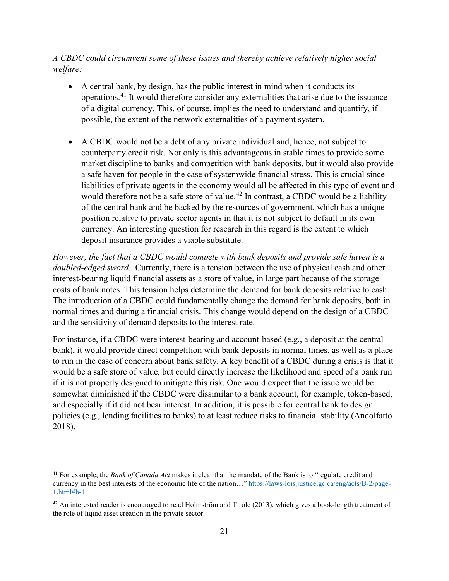*A CBDC could circumvent some of these issues and thereby achieve relatively higher social welfare:*

- A central bank, by design, has the public interest in mind when it conducts its operations.[41](#page-24-0) It would therefore consider any externalities that arise due to the issuance of a digital currency. This, of course, implies the need to understand and quantify, if possible, the extent of the network externalities of a payment system.
- A CBDC would not be a debt of any private individual and, hence, not subject to counterparty credit risk. Not only is this advantageous in stable times to provide some market discipline to banks and competition with bank deposits, but it would also provide a safe haven for people in the case of systemwide financial stress. This is crucial since liabilities of private agents in the economy would all be affected in this type of event and would therefore not be a safe store of value.<sup>[42](#page-24-1)</sup> In contrast, a CBDC would be a liability of the central bank and be backed by the resources of government, which has a unique position relative to private sector agents in that it is not subject to default in its own currency. An interesting question for research in this regard is the extent to which deposit insurance provides a viable substitute.

*However, the fact that a CBDC would compete with bank deposits and provide safe haven is a doubled-edged sword.* Currently, there is a tension between the use of physical cash and other interest-bearing liquid financial assets as a store of value, in large part because of the storage costs of bank notes. This tension helps determine the demand for bank deposits relative to cash. The introduction of a CBDC could fundamentally change the demand for bank deposits, both in normal times and during a financial crisis. This change would depend on the design of a CBDC and the sensitivity of demand deposits to the interest rate.

For instance, if a CBDC were interest-bearing and account-based (e.g., a deposit at the central bank), it would provide direct competition with bank deposits in normal times, as well as a place to run in the case of concern about bank safety. A key benefit of a CBDC during a crisis is that it would be a safe store of value, but could directly increase the likelihood and speed of a bank run if it is not properly designed to mitigate this risk. One would expect that the issue would be somewhat diminished if the CBDC were dissimilar to a bank account, for example, token-based, and especially if it did not bear interest. In addition, it is possible for central bank to design policies (e.g., lending facilities to banks) to at least reduce risks to financial stability (Andolfatto 2018).

<span id="page-24-0"></span><sup>41</sup> For example, the *Bank of Canada Act* makes it clear that the mandate of the Bank is to "regulate credit and currency in the best interests of the economic life of the nation…" [https://laws-lois.justice.gc.ca/eng/acts/B-2/page-](https://laws-lois.justice.gc.ca/eng/acts/B-2/page-1.html#h-1)[1.html#h-1](https://laws-lois.justice.gc.ca/eng/acts/B-2/page-1.html#h-1)

<span id="page-24-1"></span> $42$  An interested reader is encouraged to read Holmström and Tirole (2013), which gives a book-length treatment of the role of liquid asset creation in the private sector.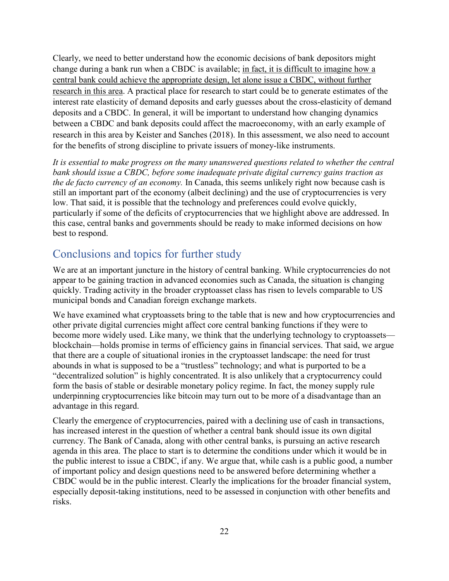Clearly, we need to better understand how the economic decisions of bank depositors might change during a bank run when a CBDC is available; in fact, it is difficult to imagine how a central bank could achieve the appropriate design, let alone issue a CBDC, without further research in this area. A practical place for research to start could be to generate estimates of the interest rate elasticity of demand deposits and early guesses about the cross-elasticity of demand deposits and a CBDC. In general, it will be important to understand how changing dynamics between a CBDC and bank deposits could affect the macroeconomy, with an early example of research in this area by Keister and Sanches (2018). In this assessment, we also need to account for the benefits of strong discipline to private issuers of money-like instruments.

*It is essential to make progress on the many unanswered questions related to whether the central bank should issue a CBDC, before some inadequate private digital currency gains traction as the de facto currency of an economy.* In Canada, this seems unlikely right now because cash is still an important part of the economy (albeit declining) and the use of cryptocurrencies is very low. That said, it is possible that the technology and preferences could evolve quickly, particularly if some of the deficits of cryptocurrencies that we highlight above are addressed. In this case, central banks and governments should be ready to make informed decisions on how best to respond.

#### Conclusions and topics for further study

We are at an important juncture in the history of central banking. While cryptocurrencies do not appear to be gaining traction in advanced economies such as Canada, the situation is changing quickly. Trading activity in the broader cryptoasset class has risen to levels comparable to US municipal bonds and Canadian foreign exchange markets.

We have examined what cryptoassets bring to the table that is new and how cryptocurrencies and other private digital currencies might affect core central banking functions if they were to become more widely used. Like many, we think that the underlying technology to cryptoassets blockchain—holds promise in terms of efficiency gains in financial services. That said, we argue that there are a couple of situational ironies in the cryptoasset landscape: the need for trust abounds in what is supposed to be a "trustless" technology; and what is purported to be a "decentralized solution" is highly concentrated. It is also unlikely that a cryptocurrency could form the basis of stable or desirable monetary policy regime. In fact, the money supply rule underpinning cryptocurrencies like bitcoin may turn out to be more of a disadvantage than an advantage in this regard.

Clearly the emergence of cryptocurrencies, paired with a declining use of cash in transactions, has increased interest in the question of whether a central bank should issue its own digital currency. The Bank of Canada, along with other central banks, is pursuing an active research agenda in this area. The place to start is to determine the conditions under which it would be in the public interest to issue a CBDC, if any. We argue that, while cash is a public good, a number of important policy and design questions need to be answered before determining whether a CBDC would be in the public interest. Clearly the implications for the broader financial system, especially deposit-taking institutions, need to be assessed in conjunction with other benefits and risks.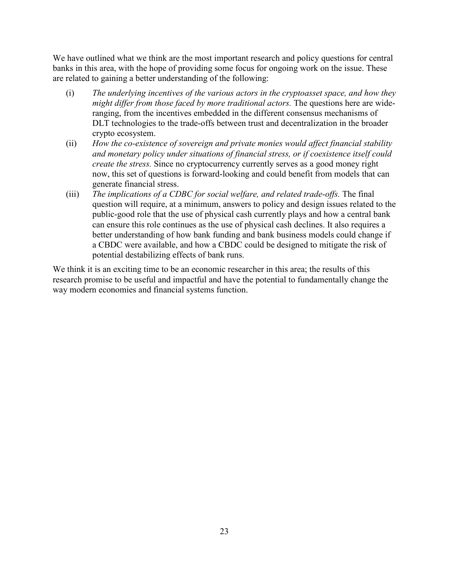We have outlined what we think are the most important research and policy questions for central banks in this area, with the hope of providing some focus for ongoing work on the issue. These are related to gaining a better understanding of the following:

- (i) *The underlying incentives of the various actors in the cryptoasset space, and how they might differ from those faced by more traditional actors.* The questions here are wideranging, from the incentives embedded in the different consensus mechanisms of DLT technologies to the trade-offs between trust and decentralization in the broader crypto ecosystem.
- (ii) *How the co-existence of sovereign and private monies would affect financial stability and monetary policy under situations of financial stress, or if coexistence itself could create the stress.* Since no cryptocurrency currently serves as a good money right now, this set of questions is forward-looking and could benefit from models that can generate financial stress.
- (iii) *The implications of a CDBC for social welfare, and related trade-offs.* The final question will require, at a minimum, answers to policy and design issues related to the public-good role that the use of physical cash currently plays and how a central bank can ensure this role continues as the use of physical cash declines. It also requires a better understanding of how bank funding and bank business models could change if a CBDC were available, and how a CBDC could be designed to mitigate the risk of potential destabilizing effects of bank runs.

We think it is an exciting time to be an economic researcher in this area; the results of this research promise to be useful and impactful and have the potential to fundamentally change the way modern economies and financial systems function.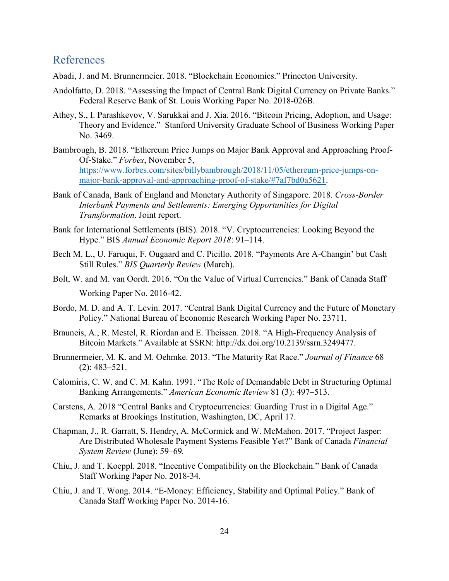#### References

- Abadi, J. and M. Brunnermeier. 2018. "Blockchain Economics." Princeton University.
- Andolfatto, D. 2018. "Assessing the Impact of Central Bank Digital Currency on Private Banks." Federal Reserve Bank of St. Louis Working Paper No. 2018-026B.
- Athey, S., I. Parashkevov, V. Sarukkai and J. Xia. 2016. "Bitcoin Pricing, Adoption, and Usage: Theory and Evidence." Stanford University Graduate School of Business Working Paper No. 3469.
- Bambrough, B. 2018. "Ethereum Price Jumps on Major Bank Approval and Approaching Proof-Of-Stake." *Forbes*, November 5, [https://www.forbes.com/sites/billybambrough/2018/11/05/ethereum-price-jumps-on](https://www.forbes.com/sites/billybambrough/2018/11/05/ethereum-price-jumps-on-major-bank-approval-and-approaching-proof-of-stake/#7af7bd0a5621)[major-bank-approval-and-approaching-proof-of-stake/#7af7bd0a5621.](https://www.forbes.com/sites/billybambrough/2018/11/05/ethereum-price-jumps-on-major-bank-approval-and-approaching-proof-of-stake/#7af7bd0a5621)
- Bank of Canada, Bank of England and Monetary Authority of Singapore. 2018. *Cross-Border Interbank Payments and Settlements: Emerging Opportunities for Digital Transformation*. Joint report.
- Bank for International Settlements (BIS). 2018. "V. Cryptocurrencies: Looking Beyond the Hype." BIS *Annual Economic Report 2018*: 91–114.
- Bech M. L., U. Faruqui, F. Ougaard and C. Picillo. 2018. "Payments Are A-Changin' but Cash Still Rules." *BIS Quarterly Review* (March).
- Bolt, W. and M. van Oordt. 2016. "On the Value of Virtual Currencies." Bank of Canada Staff Working Paper No. 2016-42.
- Bordo, M. D. and A. T. Levin. 2017. "Central Bank Digital Currency and the Future of Monetary Policy." National Bureau of Economic Research Working Paper No. 23711.
- Brauneis, A., R. Mestel, R. Riordan and E. Theissen. 2018. "A High-Frequency Analysis of Bitcoin Markets." Available at SSRN: [http://dx.doi.org/10.2139/ssrn.3249477.](https://dx.doi.org/10.2139/ssrn.3249477)
- Brunnermeier, M. K. and M. Oehmke. 2013. "The Maturity Rat Race." *Journal of Finance* 68 (2): 483–521.
- Calomiris, C. W. and C. M. Kahn. 1991. "The Role of Demandable Debt in Structuring Optimal Banking Arrangements." *American Economic Review* 81 (3): 497–513.
- Carstens, A. 2018 "Central Banks and Cryptocurrencies: Guarding Trust in a Digital Age." Remarks at Brookings Institution, Washington, DC, April 17.
- Chapman, J., R. Garratt, S. Hendry, A. McCormick and W. McMahon. 2017. "Project Jasper: Are Distributed Wholesale Payment Systems Feasible Yet?" Bank of Canada *Financial System Review* (June): 59–69*.*
- Chiu, J. and T. Koeppl. 2018. "Incentive Compatibility on the Blockchain." Bank of Canada Staff Working Paper No. 2018-34.
- Chiu, J. and T. Wong. 2014. "E-Money: Efficiency, Stability and Optimal Policy." Bank of Canada Staff Working Paper No. 2014-16.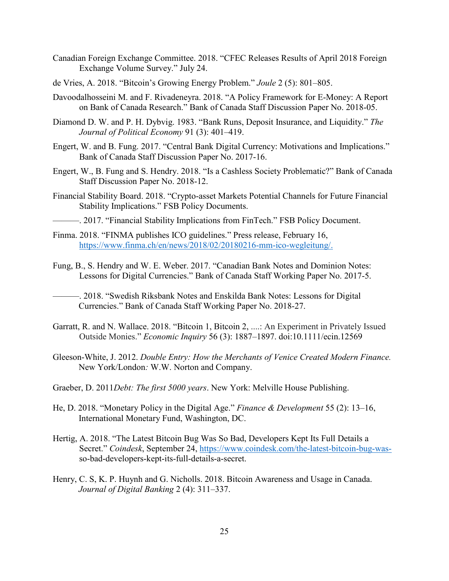- Canadian Foreign Exchange Committee. 2018. "CFEC Releases Results of April 2018 Foreign Exchange Volume Survey." July 24.
- de Vries, A. 2018. "Bitcoin's Growing Energy Problem." *Joule* 2 (5): 801–805.
- Davoodalhosseini M. and F. Rivadeneyra. 2018. "A Policy Framework for E-Money: A Report on Bank of Canada Research." Bank of Canada Staff Discussion Paper No. 2018-05.
- Diamond D. W. and P. H. Dybvig. 1983. "Bank Runs, Deposit Insurance, and Liquidity." *The Journal of Political Economy* 91 (3): 401–419.
- Engert, W. and B. Fung. 2017. "Central Bank Digital Currency: Motivations and Implications." Bank of Canada Staff Discussion Paper No. 2017-16.
- Engert, W., B. Fung and S. Hendry. 2018. "Is a Cashless Society Problematic?" Bank of Canada Staff Discussion Paper No. 2018-12.
- Financial Stability Board. 2018. "Crypto-asset Markets Potential Channels for Future Financial Stability Implications." FSB Policy Documents.
- ———. 2017. "Financial Stability Implications from FinTech." FSB Policy Document.
- Finma. 2018. "FINMA publishes ICO guidelines." Press release, February 16, [https://www.finma.ch/en/news/2018/02/20180216-mm-ico-wegleitung/.](https://www.finma.ch/en/news/2018/02/20180216-mm-ico-wegleitung/)
- Fung, B., S. Hendry and W. E. Weber. 2017. "Canadian Bank Notes and Dominion Notes: Lessons for Digital Currencies." Bank of Canada Staff Working Paper No. 2017-5.
	- ———. 2018. "Swedish Riksbank Notes and Enskilda Bank Notes: Lessons for Digital Currencies." Bank of Canada Staff Working Paper No. 2018-27.
- Garratt, R. and N. Wallace. 2018. "Bitcoin 1, Bitcoin 2, ....: An Experiment in Privately Issued Outside Monies." *Economic Inquiry* 56 (3): 1887–1897. doi:10.1111/ecin.12569
- Gleeson-White, J. 2012. *Double Entry: How the Merchants of Venice Created Modern Finance.*  New York/London*:* W.W. Norton and Company.
- Graeber, D. 2011*Debt: The first 5000 years*. New York: Melville House Publishing.
- He, D. 2018. "Monetary Policy in the Digital Age." *Finance & Development* 55 (2): 13–16, International Monetary Fund, Washington, DC.
- Hertig, A. 2018. "The Latest Bitcoin Bug Was So Bad, Developers Kept Its Full Details a Secret." *Coindesk*, September 24, [https://www.coindesk.com/the-latest-bitcoin-bug-was](https://www.coindesk.com/the-latest-bitcoin-bug-was-)so-bad-developers-kept-its-full-details-a-secret.
- Henry, C. S, K. P. Huynh and G. Nicholls. 2018. Bitcoin Awareness and Usage in Canada. *Journal of Digital Banking* 2 (4): 311–337.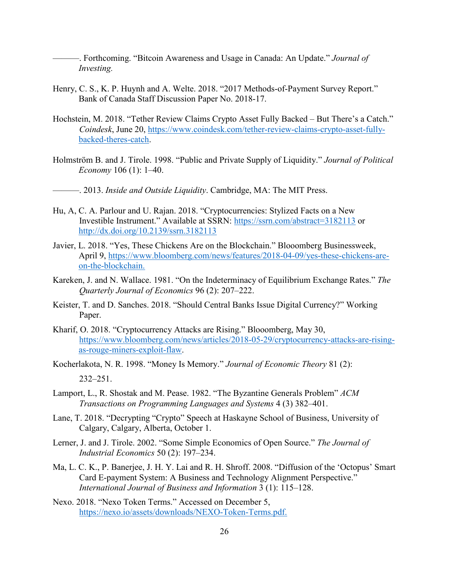———. Forthcoming. "Bitcoin Awareness and Usage in Canada: An Update." *Journal of Investing.*

- Henry, C. S., K. P. Huynh and A. Welte. 2018. "2017 Methods-of-Payment Survey Report." Bank of Canada Staff Discussion Paper No. 2018-17.
- Hochstein, M. 2018. "Tether Review Claims Crypto Asset Fully Backed But There's a Catch." *Coindesk*, June 20, [https://www.coindesk.com/tether-review-claims-crypto-asset-fully](https://www.coindesk.com/tether-review-claims-crypto-asset-fully-backed-theres-catch)[backed-theres-catch.](https://www.coindesk.com/tether-review-claims-crypto-asset-fully-backed-theres-catch)
- Holmström B. and J. Tirole. 1998. "Public and Private Supply of Liquidity." *Journal of Political Economy* 106 (1): 1–40.
- ———. 2013. *Inside and Outside Liquidity*. Cambridge, MA: The MIT Press.
- Hu, A, C. A. Parlour and U. Rajan. 2018. "Cryptocurrencies: Stylized Facts on a New Investible Instrument." Available at SSRN:<https://ssrn.com/abstract=3182113> or [http://dx.doi.org/10.2139/ssrn.3182113](https://dx.doi.org/10.2139/ssrn.3182113)
- Javier, L. 2018. "Yes, These Chickens Are on the Blockchain." Blooomberg Businessweek, April 9, [https://www.bloomberg.com/news/features/2018-04-09/yes-these-chickens-are](https://www.bloomberg.com/news/features/2018-04-09/yes-these-chickens-are-on-the-blockchain)[on-the-blockchain.](https://www.bloomberg.com/news/features/2018-04-09/yes-these-chickens-are-on-the-blockchain)
- Kareken, J. and N. Wallace. 1981. "On the Indeterminacy of Equilibrium Exchange Rates." *The Quarterly Journal of Economics* 96 (2): 207–222.
- Keister, T. and D. Sanches. 2018. "Should Central Banks Issue Digital Currency?" Working Paper.
- Kharif, O. 2018. "Cryptocurrency Attacks are Rising." Blooomberg, May 30, [https://www.bloomberg.com/news/articles/2018-05-29/cryptocurrency-attacks-are-rising](https://www.bloomberg.com/news/articles/2018-05-29/cryptocurrency-attacks-are-rising-as-rouge-miners-exploit-flaw)[as-rouge-miners-exploit-flaw.](https://www.bloomberg.com/news/articles/2018-05-29/cryptocurrency-attacks-are-rising-as-rouge-miners-exploit-flaw)
- Kocherlakota, N. R. 1998. "Money Is Memory." *Journal of Economic Theory* 81 (2): 232–251.
- Lamport, L., R. Shostak and M. Pease. 1982. "The Byzantine Generals Problem" *ACM Transactions on Programming Languages and Systems* 4 (3) 382–401.
- Lane, T. 2018. "Decrypting "Crypto" Speech at Haskayne School of Business, University of Calgary, Calgary, Alberta, October 1.
- Lerner, J. and J. Tirole. 2002. "Some Simple Economics of Open Source." *The Journal of Industrial Economics* 50 (2): 197–234.
- Ma, L. C. K., P. Banerjee, J. H. Y. Lai and R. H. Shroff. 2008. "Diffusion of the 'Octopus' Smart Card E-payment System: A Business and Technology Alignment Perspective." *International Journal of Business and Information* 3 (1): 115–128.
- Nexo. 2018. "Nexo Token Terms." Accessed on December 5, [https://nexo.io/assets/downloads/NEXO-Token-Terms.pdf.](https://nexo.io/assets/downloads/NEXO-Token-Terms.pdf)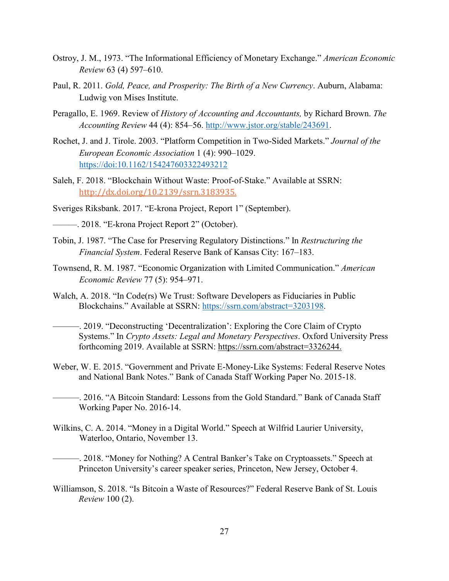- Ostroy, J. M., 1973. "The Informational Efficiency of Monetary Exchange." *American Economic Review* 63 (4) 597–610.
- Paul, R. 2011. *Gold, Peace, and Prosperity: The Birth of a New Currency*. Auburn, Alabama: Ludwig von Mises Institute.
- Peragallo, E. 1969. Review of *History of Accounting and Accountants,* by Richard Brown. *The Accounting Review* 44 (4): 854–56. [http://www.jstor.org/stable/243691.](http://www.jstor.org/stable/243691)
- Rochet, J. and J. Tirole. 2003. "Platform Competition in Two-Sided Markets." *Journal of the European Economic Association* 1 (4): 990–1029. <https://doi:10.1162/154247603322493212>
- Saleh, F. 2018. "Blockchain Without Waste: Proof-of-Stake." Available at SSRN: [http://dx.doi.org/10.2139/ssrn.3183935.](https://dx.doi.org/10.2139/ssrn.3183935)
- Sveriges Riksbank. 2017. "E-krona Project, Report 1" (September).
- ———. 2018. "E-krona Project Report 2" (October).
- Tobin, J. 1987. "The Case for Preserving Regulatory Distinctions." In *Restructuring the Financial System*. Federal Reserve Bank of Kansas City: 167–183.
- Townsend, R. M. 1987. "Economic Organization with Limited Communication." *American Economic Review* 77 (5): 954–971.
- Walch, A. 2018. "In Code(rs) We Trust: Software Developers as Fiduciaries in Public Blockchains." Available at SSRN: [https://ssrn.com/abstract=3203198.](https://ssrn.com/abstract=3203198)
	- ———. 2019. "Deconstructing 'Decentralization': Exploring the Core Claim of Crypto Systems." In *Crypto Assets: Legal and Monetary Perspectives*. Oxford University Press forthcoming 2019. Available at SSRN: [https://ssrn.com/abstract=3326244.](https://ssrn.com/abstract=3326244)
- Weber, W. E. 2015. "Government and Private E-Money-Like Systems: Federal Reserve Notes and National Bank Notes." Bank of Canada Staff Working Paper No. 2015-18.
	- ———. 2016. "A Bitcoin Standard: Lessons from the Gold Standard." Bank of Canada Staff Working Paper No. 2016-14.
- Wilkins, C. A. 2014. "Money in a Digital World." Speech at Wilfrid Laurier University, Waterloo, Ontario, November 13.
	- ———. 2018. "Money for Nothing? A Central Banker's Take on Cryptoassets." Speech at Princeton University's career speaker series, Princeton, New Jersey, October 4.
- Williamson, S. 2018. "Is Bitcoin a Waste of Resources?" Federal Reserve Bank of St. Louis *Review* 100 (2).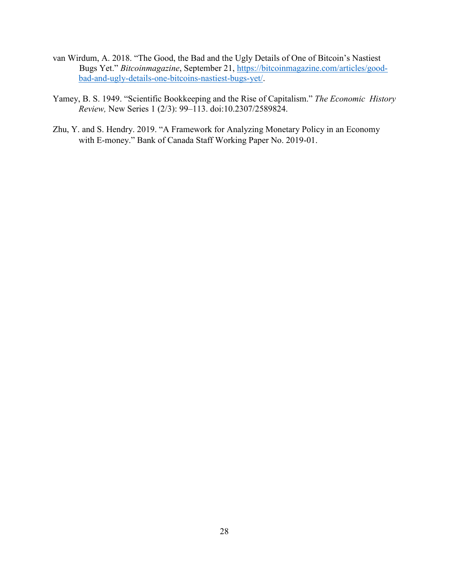- van Wirdum, A. 2018. "The Good, the Bad and the Ugly Details of One of Bitcoin's Nastiest Bugs Yet." *Bitcoinmagazine*, September 21, [https://bitcoinmagazine.com/articles/good](https://bitcoinmagazine.com/articles/good-bad-and-ugly-details-one-bitcoins-nastiest-bugs-yet/)[bad-and-ugly-details-one-bitcoins-nastiest-bugs-yet/.](https://bitcoinmagazine.com/articles/good-bad-and-ugly-details-one-bitcoins-nastiest-bugs-yet/)
- Yamey, B. S. 1949. "Scientific Bookkeeping and the Rise of Capitalism." *The Economic History Review,* New Series 1 (2/3): 99–113. doi:10.2307/2589824.
- Zhu, Y. and S. Hendry. 2019. "A Framework for Analyzing Monetary Policy in an Economy with E-money." Bank of Canada Staff Working Paper No. 2019-01.